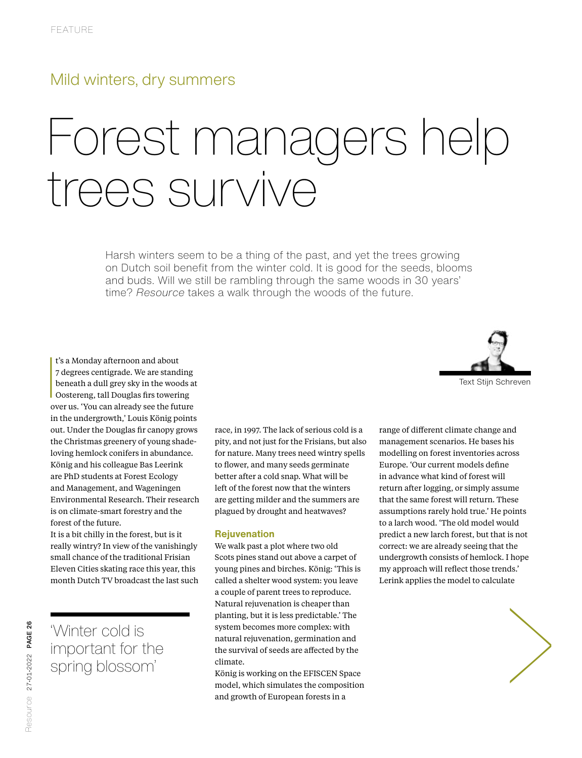# Mild winters, dry summers

# Forest managers help trees survive

Harsh winters seem to be a thing of the past, and yet the trees growing on Dutch soil benefit from the winter cold. It is good for the seeds, blooms and buds. Will we still be rambling through the same woods in 30 years' time? *Resource* takes a walk through the woods of the future.



 $\begin{array}{c} \n\end{array}$ t's a Monday afternoon and about 7 degrees centigrade. We are standing beneath a dull grey sky in the woods at Oostereng, tall Douglas firs towering over us. 'You can already see the future in the undergrowth,' Louis König points out. Under the Douglas fir canopy grows the Christmas greenery of young shadeloving hemlock conifers in abundance. König and his colleague Bas Leerink are PhD students at Forest Ecology and Management, and Wageningen Environmental Research. Their research is on climate-smart forestry and the forest of the future.

It is a bit chilly in the forest, but is it really wintry? In view of the vanishingly small chance of the traditional Frisian Eleven Cities skating race this year, this month Dutch TV broadcast the last such

'Winter cold is important for the spring blossom'

race, in 1997. The lack of serious cold is a pity, and not just for the Frisians, but also for nature. Many trees need wintry spells to flower, and many seeds germinate better after a cold snap. What will be left of the forest now that the winters are getting milder and the summers are plagued by drought and heatwaves?

### **Rejuvenation**

We walk past a plot where two old Scots pines stand out above a carpet of young pines and birches. König: 'This is called a shelter wood system: you leave a couple of parent trees to reproduce. Natural rejuvenation is cheaper than planting, but it is less predictable.' The system becomes more complex: with natural rejuvenation, germination and the survival of seeds are affected by the climate.

König is working on the EFISCEN Space model, which simulates the composition and growth of European forests in a

range of different climate change and management scenarios. He bases his modelling on forest inventories across Europe. 'Our current models define in advance what kind of forest will return after logging, or simply assume that the same forest will return. These assumptions rarely hold true.' He points to a larch wood. 'The old model would predict a new larch forest, but that is not correct: we are already seeing that the undergrowth consists of hemlock. I hope my approach will reflect those trends.' Lerink applies the model to calculate

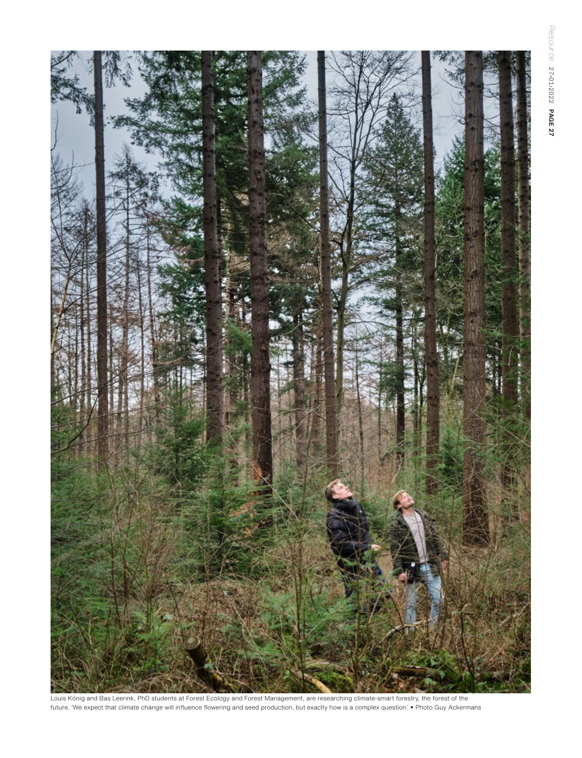Resource 27-01-2022 PAGE 27 Resource 27•01•2022 PAGE 27



Louis König and Bas Leerink, PhD students at Forest Ecology and Forest Management, are researching climate-smart forestry, the forest of the future. 'We expect that climate change will influence flowering and seed production, but exactly how is a complex question.' Photo Guy Ackermans